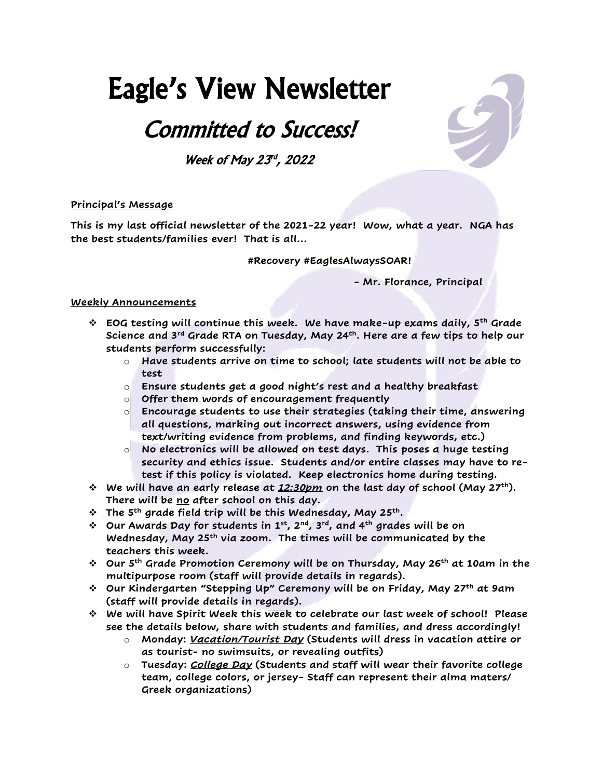# Eagle's View Newsletter

# Committed to Success!

Week of May  $23<sup>d</sup>$ , 2022

# **Principal's Message**

**This is my last official newsletter of the 2021-22 year! Wow, what a year. NGA has the best students/families ever! That is all…**

**#Recovery #EaglesAlwaysSOAR!**

**- Mr. Florance, Principal**

## **Weekly Announcements**

- ❖ **EOG testing will continue this week. We have make-up exams daily, 5th Grade Science and 3rd Grade RTA on Tuesday, May 24th . Here are a few tips to help our students perform successfully:** 
	- o **Have students arrive on time to school; late students will not be able to test**
	- o **Ensure students get a good night's rest and a healthy breakfast**
	- o **Offer them words of encouragement frequently**
	- o **Encourage students to use their strategies (taking their time, answering all questions, marking out incorrect answers, using evidence from text/writing evidence from problems, and finding keywords, etc.)**
	- o **No electronics will be allowed on test days. This poses a huge testing security and ethics issue. Students and/or entire classes may have to retest if this policy is violated. Keep electronics home during testing.**
- ❖ **We will have an early release at** *12:30pm* **on the last day of school (May 27th). There will be no after school on this day.**
- ❖ **The 5th grade field trip will be this Wednesday, May 25 th .**
- ❖ **Our Awards Day for students in 1st, 2nd, 3rd, and 4th grades will be on Wednesday, May 25th via zoom. The times will be communicated by the teachers this week.**
- ❖ **Our 5th Grade Promotion Ceremony will be on Thursday, May 26th at 10am in the multipurpose room (staff will provide details in regards).**
- ❖ **Our Kindergarten "Stepping Up" Ceremony will be on Friday, May 27th at 9am (staff will provide details in regards).**
- ❖ **We will have Spirit Week this week to celebrate our last week of school! Please see the details below, share with students and families, and dress accordingly!** 
	- o **Monday:** *Vacation/Tourist Day* **(Students will dress in vacation attire or as tourist- no swimsuits, or revealing outfits)**
	- o **Tuesday:** *College Day* **(Students and staff will wear their favorite college team, college colors, or jersey- Staff can represent their alma maters/ Greek organizations)**